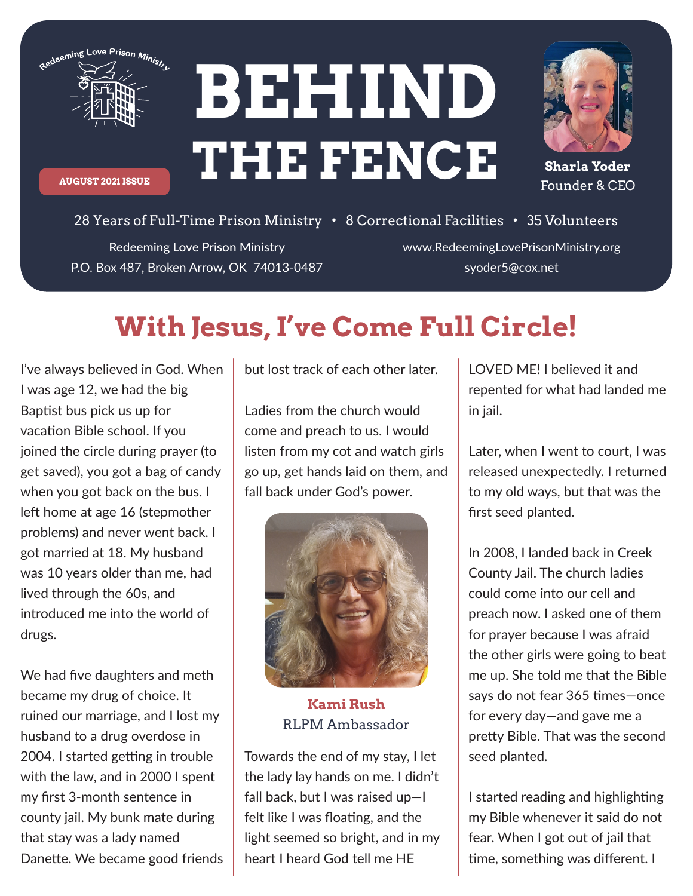

**AUGUST 2021 ISSUE**

**BEHIND THE FENCE**



**Sharla Yoder** Founder & CEO

Redeeming Love Prison Ministry P.O. Box 487, Broken Arrow, OK 74013-0487 28 Years of Full-Time Prison Ministry • 8 Correctional Facilities • 35 Volunteers

www.RedeemingLovePrisonMinistry.org syoder5@cox.net

## **With Jesus, I've Come Full Circle!**

I've always believed in God. When I was age 12, we had the big Baptist bus pick us up for vacation Bible school. If you joined the circle during prayer (to get saved), you got a bag of candy when you got back on the bus. I left home at age 16 (stepmother problems) and never went back. I got married at 18. My husband was 10 years older than me, had lived through the 60s, and introduced me into the world of drugs.

We had five daughters and meth became my drug of choice. It ruined our marriage, and I lost my husband to a drug overdose in 2004. I started getting in trouble with the law, and in 2000 I spent my first 3-month sentence in county jail. My bunk mate during that stay was a lady named Danette. We became good friends but lost track of each other later.

Ladies from the church would come and preach to us. I would listen from my cot and watch girls go up, get hands laid on them, and fall back under God's power.



**Kami Rush** RLPM Ambassador

Towards the end of my stay, I let the lady lay hands on me. I didn't fall back, but I was raised up—I felt like I was floating, and the light seemed so bright, and in my heart I heard God tell me HE

LOVED ME! I believed it and repented for what had landed me in jail.

Later, when I went to court, I was released unexpectedly. I returned to my old ways, but that was the first seed planted.

In 2008, I landed back in Creek County Jail. The church ladies could come into our cell and preach now. I asked one of them for prayer because I was afraid the other girls were going to beat me up. She told me that the Bible says do not fear 365 times-once for every day—and gave me a pretty Bible. That was the second seed planted.

I started reading and highlighting my Bible whenever it said do not fear. When I got out of jail that time, something was different. I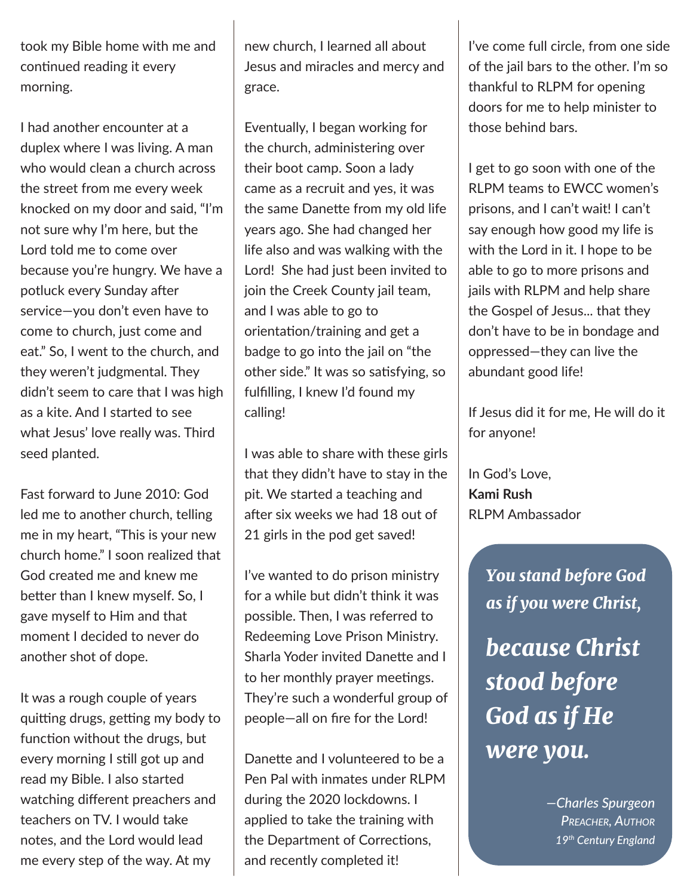took my Bible home with me and continued reading it every morning.

I had another encounter at a duplex where I was living. A man who would clean a church across the street from me every week knocked on my door and said, "I'm not sure why I'm here, but the Lord told me to come over because you're hungry. We have a potluck every Sunday after service—you don't even have to come to church, just come and eat." So, I went to the church, and they weren't judgmental. They didn't seem to care that I was high as a kite. And I started to see what Jesus' love really was. Third seed planted.

Fast forward to June 2010: God led me to another church, telling me in my heart, "This is your new church home." I soon realized that God created me and knew me better than I knew myself. So, I gave myself to Him and that moment I decided to never do another shot of dope.

It was a rough couple of years quitting drugs, getting my body to function without the drugs, but every morning I still got up and read my Bible. I also started watching different preachers and teachers on TV. I would take notes, and the Lord would lead me every step of the way. At my

new church, I learned all about Jesus and miracles and mercy and grace.

Eventually, I began working for the church, administering over their boot camp. Soon a lady came as a recruit and yes, it was the same Danette from my old life years ago. She had changed her life also and was walking with the Lord! She had just been invited to join the Creek County jail team, and I was able to go to orientation/training and get a badge to go into the jail on "the other side." It was so satisfying, so fulfilling, I knew I'd found my calling!

I was able to share with these girls that they didn't have to stay in the pit. We started a teaching and after six weeks we had 18 out of 21 girls in the pod get saved!

I've wanted to do prison ministry for a while but didn't think it was possible. Then, I was referred to Redeeming Love Prison Ministry. Sharla Yoder invited Danette and I to her monthly prayer meetings. They're such a wonderful group of people—all on fire for the Lord!

Danette and I volunteered to be a Pen Pal with inmates under RLPM during the 2020 lockdowns. I applied to take the training with the Department of Corrections, and recently completed it!

I've come full circle, from one side of the jail bars to the other. I'm so thankful to RLPM for opening doors for me to help minister to those behind bars.

I get to go soon with one of the RLPM teams to EWCC women's prisons, and I can't wait! I can't say enough how good my life is with the Lord in it. I hope to be able to go to more prisons and jails with RLPM and help share the Gospel of Jesus... that they don't have to be in bondage and oppressed—they can live the abundant good life!

If Jesus did it for me, He will do it for anyone!

In God's Love, **Kami Rush** RLPM Ambassador

> *You stand before God as if you were Christ,*

*because Christ stood before God as if He were you.*

> *—Charles Spurgeon PREACHER, AUTHOR 19th Century England*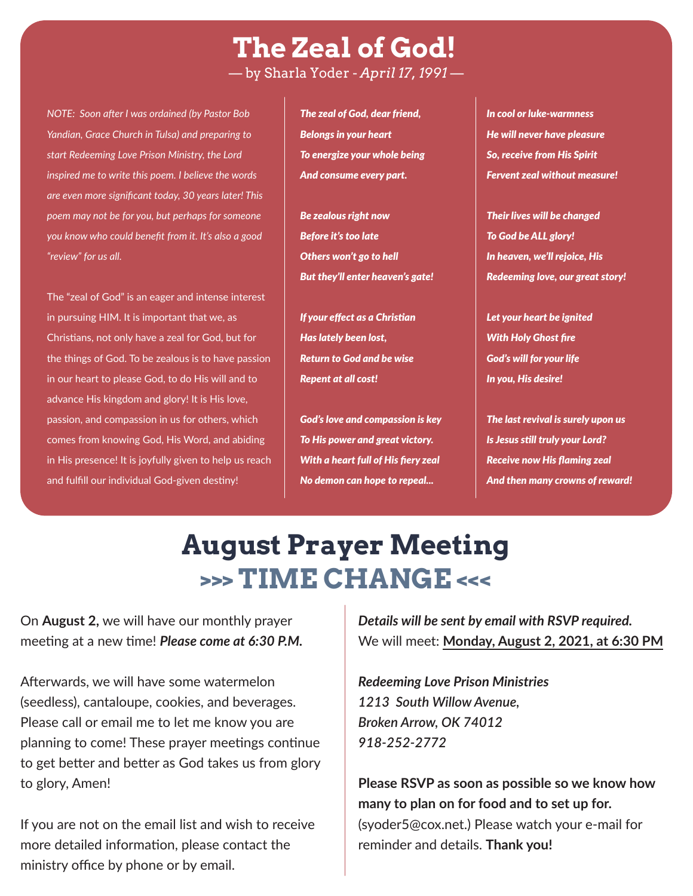**The Zeal of God!** — by Sharla Yoder - *April 17, 1991* —

*NOTE: Soon a�er I was ordained (by Pastor Bob Yandian, Grace Church in Tulsa) and preparing to start Redeeming Love Prison Ministry, the Lord inspired me to write this poem. I believe the words are even more significant today, 30 years later! This poem may not be for you, but perhaps for someone you know who could benefit from it. It's also a good "review" for us all.*

The "zeal of God" is an eager and intense interest in pursuing HIM. It is important that we, as Christians, not only have a zeal for God, but for the things of God. To be zealous is to have passion in our heart to please God, to do His will and to advance His kingdom and glory! It is His love, passion, and compassion in us for others, which comes from knowing God, His Word, and abiding in His presence! It is joyfully given to help us reach and fulfill our individual God-given destiny!

*The zeal of God, dear friend, Belongs in your heart To energize your whole being And consume every part.*

*Be zealous right now Before it's too late Others won't go to hell But they'll enter heaven's gate!*

*If your effect as a Chris�an Has lately been lost, Return to God and be wise Repent at all cost!*

*God's love and compassion is key To His power and great victory. With a heart full of His fiery zeal No demon can hope to repeal...*

*In cool or luke-warmness He will never have pleasure So, receive from His Spirit Fervent zeal without measure!*

*Their lives will be changed To God be ALL glory! In heaven, we'll rejoice, His Redeeming love, our great story!*

*Let your heart be ignited With Holy Ghost fire God's will for your life In you, His desire!*

*The last revival is surely upon us Is Jesus s�ll truly your Lord? Receive now His flaming zeal And then many crowns of reward!*

## **August Prayer Meeting >>> TIME CHANGE <<<**

On **August 2,** we will have our monthly prayer meeting at a new time! *Please come at 6:30 P.M.* 

Afterwards, we will have some watermelon (seedless), cantaloupe, cookies, and beverages. Please call or email me to let me know you are planning to come! These prayer meetings continue to get better and better as God takes us from glory to glory, Amen!

If you are not on the email list and wish to receive more detailed information, please contact the ministry office by phone or by email.

*Details will be sent by email with RSVP required.* We will meet: **Monday, August 2, 2021, at 6:30 PM**

*Redeeming Love Prison Ministries 1213 South Willow Avenue, Broken Arrow, OK 74012 918-252-2772*

**Please RSVP as soon as possible so we know how many to plan on for food and to set up for.** (syoder5@cox.net.) Please watch your e-mail for reminder and details. **Thank you!**